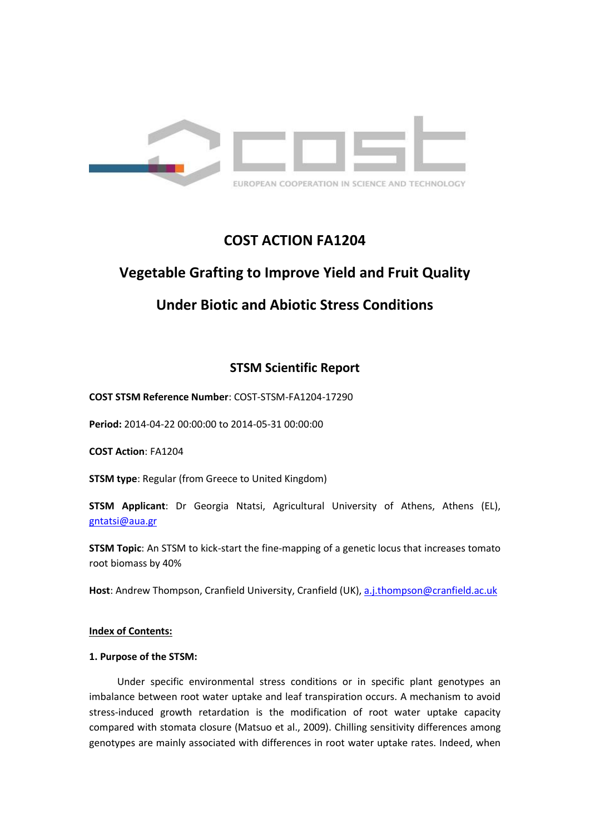

## **COST ACTION FA1204**

# **Vegetable Grafting to Improve Yield and Fruit Quality**

## **Under Biotic and Abiotic Stress Conditions**

## **STSM Scientific Report**

**COST STSM Reference Number**: COST-STSM-FA1204-17290

**Period:** 2014-04-22 00:00:00 to 2014-05-31 00:00:00

**COST Action**: FA1204

**STSM type**: Regular (from Greece to United Kingdom)

**STSM Applicant**: Dr Georgia Ntatsi, Agricultural University of Athens, Athens (EL), [gntatsi@aua.gr](mailto:gntatsi@aua.gr)

**STSM Topic**: An STSM to kick-start the fine-mapping of a genetic locus that increases tomato root biomass by 40%

**Host**: Andrew Thompson, Cranfield University, Cranfield (UK)[, a.j.thompson@cranfield.ac.uk](mailto:a.j.thompson@cranfield.ac.uk) 

### **Index of Contents:**

### **1. Purpose of the STSM:**

Under specific environmental stress conditions or in specific plant genotypes an imbalance between root water uptake and leaf transpiration occurs. A mechanism to avoid stress-induced growth retardation is the modification of root water uptake capacity compared with stomata closure (Matsuo et al., 2009). Chilling sensitivity differences among genotypes are mainly associated with differences in root water uptake rates. Indeed, when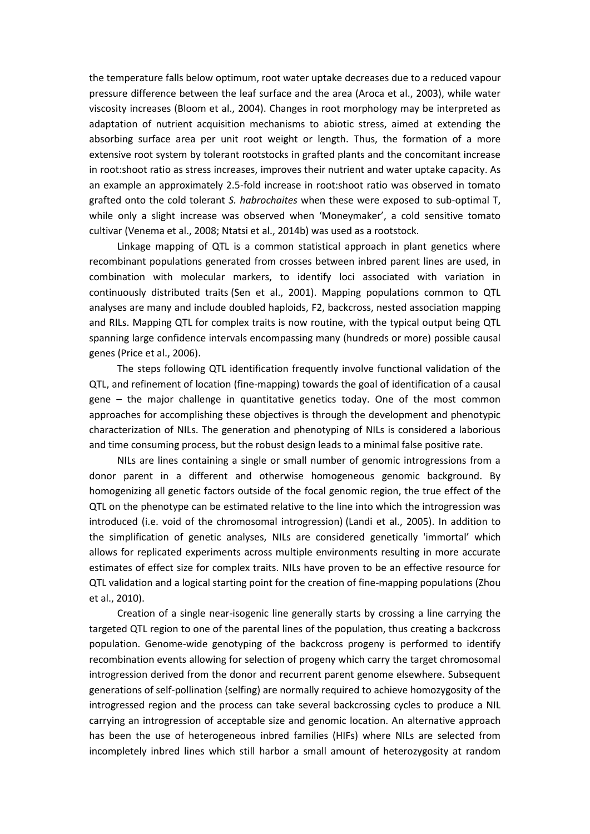the temperature falls below optimum, root water uptake decreases due to a reduced vapour pressure difference between the leaf surface and the area (Aroca et al., 2003), while water viscosity increases (Bloom et al., 2004). Changes in root morphology may be interpreted as adaptation of nutrient acquisition mechanisms to abiotic stress, aimed at extending the absorbing surface area per unit root weight or length. Thus, the formation of a more extensive root system by tolerant rootstocks in grafted plants and the concomitant increase in root:shoot ratio as stress increases, improves their nutrient and water uptake capacity. As an example an approximately 2.5-fold increase in root:shoot ratio was observed in tomato grafted onto the cold tolerant *S. habrochaites* when these were exposed to sub-optimal T, while only a slight increase was observed when 'Moneymaker', a cold sensitive tomato cultivar (Venema et al., 2008; Ntatsi et al., 2014b) was used as a rootstock.

Linkage mapping of QTL is a common statistical approach in plant genetics where recombinant populations generated from crosses between inbred parent lines are used, in combination with molecular markers, to identify loci associated with variation in continuously distributed traits (Sen et al., 2001). Mapping populations common to QTL analyses are many and include doubled haploids, F2, backcross, nested association mapping and RILs. Mapping QTL for complex traits is now routine, with the typical output being QTL spanning large confidence intervals encompassing many (hundreds or more) possible causal genes (Price et al., 2006).

The steps following QTL identification frequently involve functional validation of the QTL, and refinement of location (fine-mapping) towards the goal of identification of a causal gene – the major challenge in quantitative genetics today. One of the most common approaches for accomplishing these objectives is through the development and phenotypic characterization of NILs. The generation and phenotyping of NILs is considered a laborious and time consuming process, but the robust design leads to a minimal false positive rate.

NILs are lines containing a single or small number of genomic introgressions from a donor parent in a different and otherwise homogeneous genomic background. By homogenizing all genetic factors outside of the focal genomic region, the true effect of the QTL on the phenotype can be estimated relative to the line into which the introgression was introduced (i.e. void of the chromosomal introgression) (Landi et al., 2005). In addition to the simplification of genetic analyses, NILs are considered genetically 'immortal' which allows for replicated experiments across multiple environments resulting in more accurate estimates of effect size for complex traits. NILs have proven to be an effective resource for QTL validation and a logical starting point for the creation of fine-mapping populations (Zhou et al., 2010).

Creation of a single near-isogenic line generally starts by crossing a line carrying the targeted QTL region to one of the parental lines of the population, thus creating a backcross population. Genome-wide genotyping of the backcross progeny is performed to identify recombination events allowing for selection of progeny which carry the target chromosomal introgression derived from the donor and recurrent parent genome elsewhere. Subsequent generations of self-pollination (selfing) are normally required to achieve homozygosity of the introgressed region and the process can take several backcrossing cycles to produce a NIL carrying an introgression of acceptable size and genomic location. An alternative approach has been the use of heterogeneous inbred families (HIFs) where NILs are selected from incompletely inbred lines which still harbor a small amount of heterozygosity at random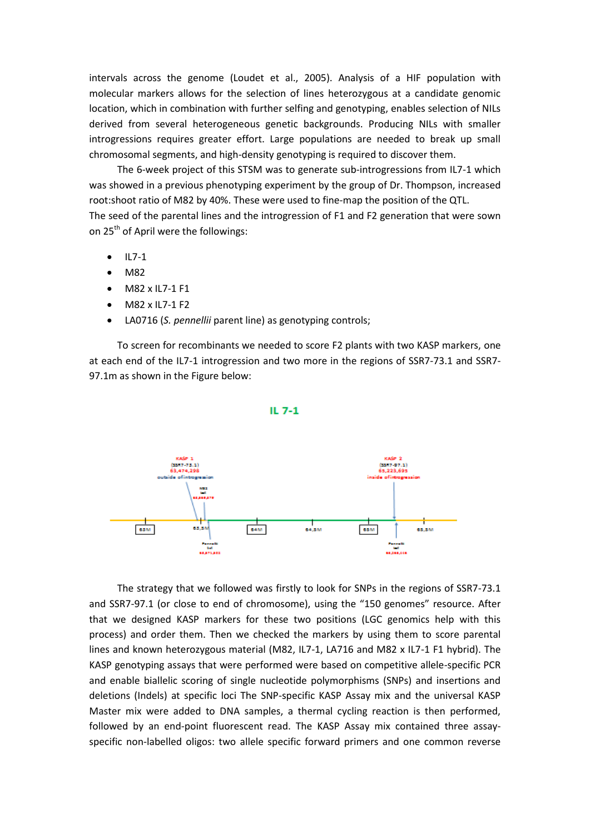intervals across the genome (Loudet et al., 2005). Analysis of a HIF population with molecular markers allows for the selection of lines heterozygous at a candidate genomic location, which in combination with further selfing and genotyping, enables selection of NILs derived from several heterogeneous genetic backgrounds. Producing NILs with smaller introgressions requires greater effort. Large populations are needed to break up small chromosomal segments, and high-density genotyping is required to discover them.

The 6-week project of this STSM was to generate sub-introgressions from IL7-1 which was showed in a previous phenotyping experiment by the group of Dr. Thompson, increased root:shoot ratio of M82 by 40%. These were used to fine-map the position of the QTL. The seed of the parental lines and the introgression of F1 and F2 generation that were sown on 25<sup>th</sup> of April were the followings:

- $\bullet$  IL7-1
- M82
- M82 x IL7-1 F1
- M82 x IL7-1 F2
- LA0716 (*S. pennellii* parent line) as genotyping controls;

To screen for recombinants we needed to score F2 plants with two KASP markers, one at each end of the IL7-1 introgression and two more in the regions of SSR7-73.1 and SSR7- 97.1m as shown in the Figure below:

#### IL  $7-1$



The strategy that we followed was firstly to look for SNPs in the regions of SSR7-73.1 and SSR7-97.1 (or close to end of chromosome), using the "150 genomes" resource. After that we designed KASP markers for these two positions (LGC genomics help with this process) and order them. Then we checked the markers by using them to score parental lines and known heterozygous material (M82, IL7-1, LA716 and M82 x IL7-1 F1 hybrid). The KASP genotyping assays that were performed were based on competitive allele-specific PCR and enable biallelic scoring of single nucleotide polymorphisms (SNPs) and insertions and deletions (Indels) at specific loci The SNP-specific KASP Assay mix and the universal KASP Master mix were added to DNA samples, a thermal cycling reaction is then performed, followed by an end-point fluorescent read. The KASP Assay mix contained three assayspecific non-labelled oligos: two allele specific forward primers and one common reverse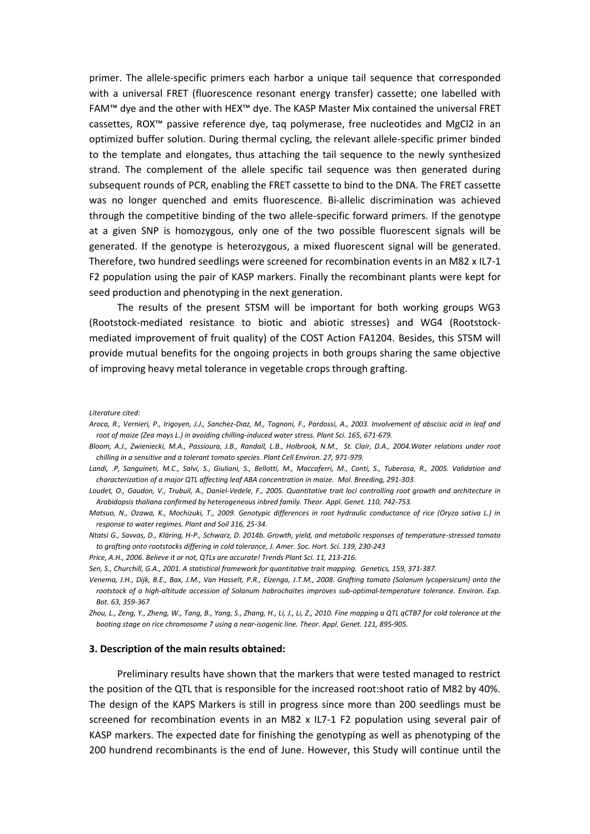primer. The allele-specific primers each harbor a unique tail sequence that corresponded with a universal FRET (fluorescence resonant energy transfer) cassette; one labelled with FAM™ dye and the other with HEX™ dye. The KASP Master Mix contained the universal FRET cassettes, ROX™ passive reference dye, taq polymerase, free nucleotides and MgCl2 in an optimized buffer solution. During thermal cycling, the relevant allele-specific primer binded to the template and elongates, thus attaching the tail sequence to the newly synthesized strand. The complement of the allele specific tail sequence was then generated during subsequent rounds of PCR, enabling the FRET cassette to bind to the DNA. The FRET cassette was no longer quenched and emits fluorescence. Bi-allelic discrimination was achieved through the competitive binding of the two allele-specific forward primers. If the genotype at a given SNP is homozygous, only one of the two possible fluorescent signals will be generated. If the genotype is heterozygous, a mixed fluorescent signal will be generated. Therefore, two hundred seedlings were screened for recombination events in an M82 x IL7-1 F2 population using the pair of KASP markers. Finally the recombinant plants were kept for seed production and phenotyping in the next generation.

The results of the present STSM will be important for both working groups WG3 (Rootstock-mediated resistance to biotic and abiotic stresses) and WG4 (Rootstockmediated improvement of fruit quality) of the COST Action FA1204. Besides, this STSM will provide mutual benefits for the ongoing projects in both groups sharing the same objective of improving heavy metal tolerance in vegetable crops through grafting.

*Literature cited:*

- *Aroca, R., Vernieri, P., Irigoyen, J.J., Sanchez-Dıaz, M., Tognoni, F., Pardossi, A., 2003. Involvement of abscisic acid in leaf and root of maize (Zea mays L.) in avoiding chilling-induced water stress. Plant Sci. 165, 671-679.*
- *Bloom, A.J., Zwieniecki, M.A., Passioura, J.B., Randall, L.B., Holbrook, N.M., St. Clair, D.A., 2004.Water relations under root chilling in a sensitive and a tolerant tomato species. Plant Cell Environ. 27, 971-979.*
- *Landi, .P, Sanguineti, M.C., Salvi, S., Giuliani, S., Bellotti, M., Maccaferri, M., Conti, S., Tuberosa, R., 2005. Validation and characterization of a major QTL affecting leaf ABA concentration in maize. Mol. Breeding, 291-303.*
- *Loudet, O., Gaudon, V., Trubuil, A., Daniel-Vedele, F., 2005. Quantitative trait loci controlling root growth and architecture in Arabidopsis thaliana confirmed by heterogeneous inbred family. Theor. Appl. Genet. 110, 742-753.*
- *Matsuo, N., Ozawa, K., Mochizuki, T., 2009. Genotypic differences in root hydraulic conductance of rice (Oryza sativa L.) in response to water regimes. Plant and Soil 316, 25-34.*
- *Ntatsi G., Savvas, D., Kläring, H-P., Schwarz, D. 2014b. Growth, yield, and metabolic responses of temperature-stressed tomato to grafting onto rootstocks differing in cold tolerance, J. Amer. Soc. Hort. Sci. 139, 230-243*
- *Price, A.H., 2006. Believe it or not, QTLs are accurate! Trends Plant Sci. 11, 213-216.*
- *Sen, S., Churchill, G.A., 2001. A statistical framework for quantitative trait mapping. Genetics, 159, 371-387.*
- *Venema, J.H., Dijk, B.E., Bax, J.M., Van Hasselt, P.R., Elzenga, J.T.M., 2008. Grafting tomato (Solanum lycopersicum) onto the rootstock of a high-altitude accession of Solanum habrochaites improves sub-optimal-temperature tolerance. Environ. Exp. Bot. 63, 359-367*
- *Zhou, L., Zeng, Y., Zheng, W., Tang, B., Yang, S., Zhang, H., Li, J., Li, Z., 2010. Fine mapping a QTL qCTB7 for cold tolerance at the booting stage on rice chromosome 7 using a near-isogenic line. Theor. Appl. Genet. 121, 895-905.*

#### **3. Description of the main results obtained:**

Preliminary results have shown that the markers that were tested managed to restrict the position of the QTL that is responsible for the increased root:shoot ratio of M82 by 40%. The design of the KAPS Markers is still in progress since more than 200 seedlings must be screened for recombination events in an M82 x IL7-1 F2 population using several pair of KASP markers. The expected date for finishing the genotyping as well as phenotyping of the 200 hundrend recombinants is the end of June. However, this Study will continue until the